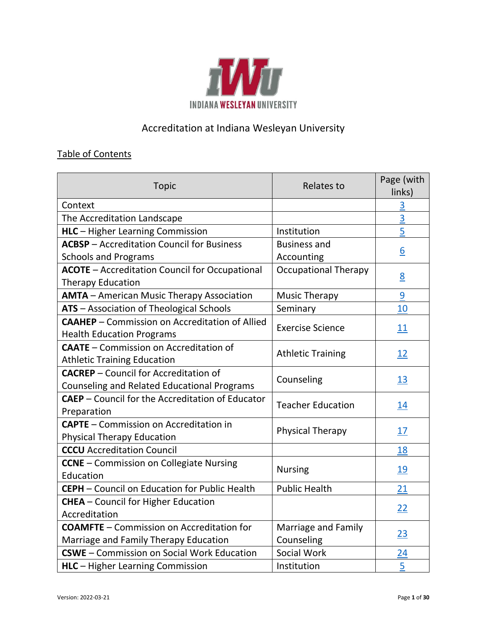

# Accreditation at Indiana Wesleyan University

## Table of Contents

| <b>Topic</b>                                                                                | <b>Relates to</b>           | Page (with<br>links) |
|---------------------------------------------------------------------------------------------|-----------------------------|----------------------|
| Context                                                                                     |                             | $\overline{3}$       |
| The Accreditation Landscape                                                                 |                             | $\overline{3}$       |
| <b>HLC</b> - Higher Learning Commission                                                     | Institution                 | $\overline{5}$       |
| <b>ACBSP</b> - Accreditation Council for Business                                           | <b>Business and</b>         |                      |
| <b>Schools and Programs</b>                                                                 | Accounting                  | $\underline{6}$      |
| <b>ACOTE</b> - Accreditation Council for Occupational                                       | <b>Occupational Therapy</b> |                      |
| <b>Therapy Education</b>                                                                    |                             | 8                    |
| <b>AMTA</b> - American Music Therapy Association                                            | <b>Music Therapy</b>        | $\overline{9}$       |
| ATS - Association of Theological Schools                                                    | Seminary                    | 10                   |
| <b>CAAHEP</b> – Commission on Accreditation of Allied                                       | <b>Exercise Science</b>     | <u>11</u>            |
| <b>Health Education Programs</b>                                                            |                             |                      |
| <b>CAATE</b> - Commission on Accreditation of                                               | <b>Athletic Training</b>    | 12                   |
| <b>Athletic Training Education</b>                                                          |                             |                      |
| <b>CACREP</b> - Council for Accreditation of<br>Counseling and Related Educational Programs | Counseling                  | <u>13</u>            |
| <b>CAEP</b> - Council for the Accreditation of Educator                                     |                             |                      |
| Preparation                                                                                 | <b>Teacher Education</b>    | <u> 14</u>           |
| <b>CAPTE</b> - Commission on Accreditation in                                               | <b>Physical Therapy</b>     | 17                   |
| <b>Physical Therapy Education</b>                                                           |                             |                      |
| <b>CCCU</b> Accreditation Council                                                           |                             | 18                   |
| <b>CCNE</b> - Commission on Collegiate Nursing                                              | <b>Nursing</b>              | <u> 19</u>           |
| Education                                                                                   |                             |                      |
| CEPH - Council on Education for Public Health                                               | <b>Public Health</b>        | 21                   |
| CHEA - Council for Higher Education                                                         |                             | <u>22</u>            |
| Accreditation                                                                               |                             |                      |
| <b>COAMFTE</b> – Commission on Accreditation for                                            | Marriage and Family         | <u>23</u>            |
| Marriage and Family Therapy Education                                                       | Counseling                  |                      |
| <b>CSWE</b> - Commission on Social Work Education                                           | Social Work                 | $\overline{24}$      |
| <b>HLC</b> - Higher Learning Commission                                                     | Institution                 | $\overline{5}$       |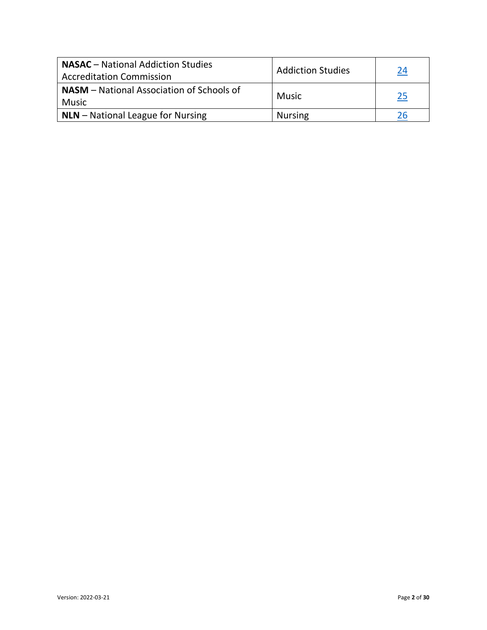| <b>NASAC</b> – National Addiction Studies<br><b>Accreditation Commission</b> | <b>Addiction Studies</b> | 24        |
|------------------------------------------------------------------------------|--------------------------|-----------|
| <b>NASM</b> – National Association of Schools of<br>  Music                  | <b>Music</b>             | <u>25</u> |
| $\vert$ NLN – National League for Nursing                                    | <b>Nursing</b>           |           |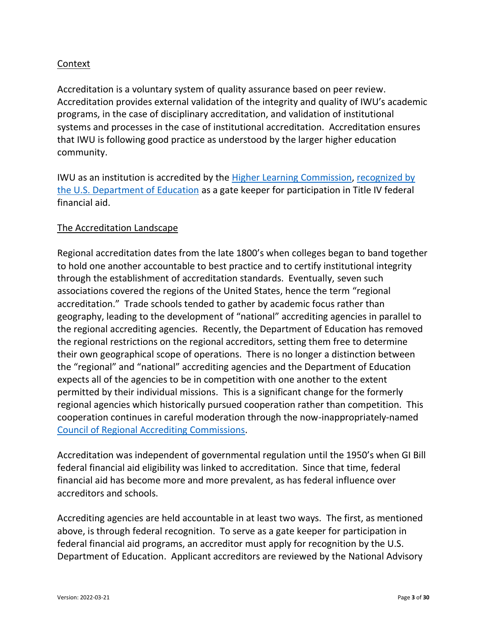#### <span id="page-2-0"></span>Context

Accreditation is a voluntary system of quality assurance based on peer review. Accreditation provides external validation of the integrity and quality of IWU's academic programs, in the case of disciplinary accreditation, and validation of institutional systems and processes in the case of institutional accreditation. Accreditation ensures that IWU is following good practice as understood by the larger higher education community.

IWU as an institution is accredited by the [Higher Learning](https://www.hlcommission.org/) Commission, [recognized by](https://www2.ed.gov/admins/finaid/accred/accreditation_pg6.html#RegionalInstitutional)  [the U.S. Department of Education](https://www2.ed.gov/admins/finaid/accred/accreditation_pg6.html#RegionalInstitutional) as a gate keeper for participation in Title IV federal financial aid.

#### <span id="page-2-1"></span>The Accreditation Landscape

Regional accreditation dates from the late 1800's when colleges began to band together to hold one another accountable to best practice and to certify institutional integrity through the establishment of accreditation standards. Eventually, seven such associations covered the regions of the United States, hence the term "regional accreditation." Trade schools tended to gather by academic focus rather than geography, leading to the development of "national" accrediting agencies in parallel to the regional accrediting agencies. Recently, the Department of Education has removed the regional restrictions on the regional accreditors, setting them free to determine their own geographical scope of operations. There is no longer a distinction between the "regional" and "national" accrediting agencies and the Department of Education expects all of the agencies to be in competition with one another to the extent permitted by their individual missions. This is a significant change for the formerly regional agencies which historically pursued cooperation rather than competition. This cooperation continues in careful moderation through the now-inappropriately-named [Council of Regional Accrediting Commissions.](https://www.c-rac.org/copy-of-about-us)

Accreditation was independent of governmental regulation until the 1950's when GI Bill federal financial aid eligibility was linked to accreditation. Since that time, federal financial aid has become more and more prevalent, as has federal influence over accreditors and schools.

Accrediting agencies are held accountable in at least two ways. The first, as mentioned above, is through federal recognition. To serve as a gate keeper for participation in federal financial aid programs, an accreditor must apply for recognition by the U.S. Department of Education. Applicant accreditors are reviewed by the National Advisory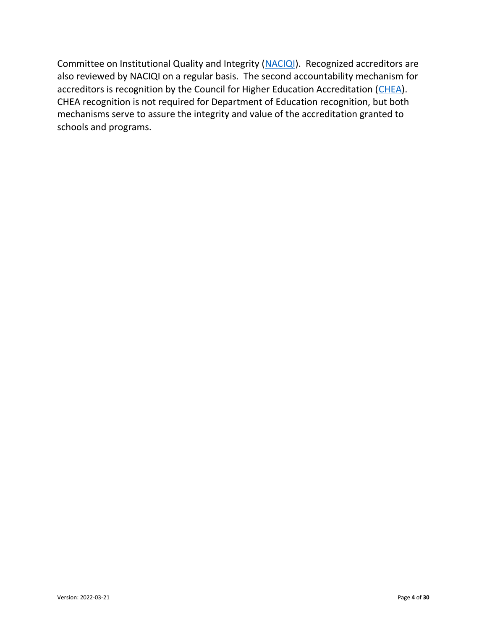Committee on Institutional Quality and Integrity [\(NACIQI\)](https://sites.ed.gov/naciqi/). Recognized accreditors are also reviewed by NACIQI on a regular basis. The second accountability mechanism for accreditors is recognition by the Council for Higher Education Accreditation [\(CHEA\)](https://www.chea.org/). CHEA recognition is not required for Department of Education recognition, but both mechanisms serve to assure the integrity and value of the accreditation granted to schools and programs.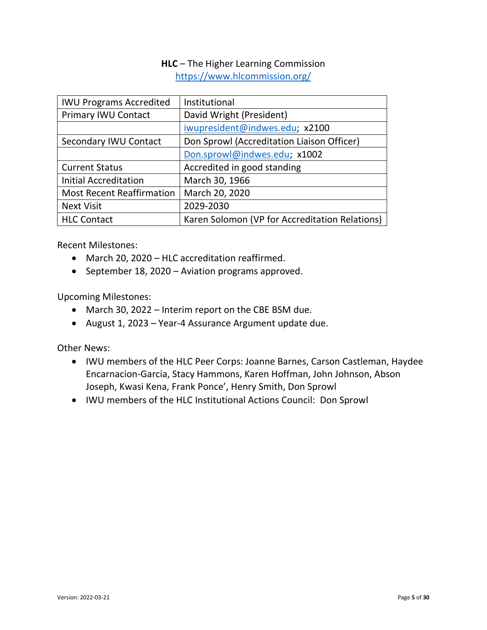## **HLC** – The Higher Learning Commission <https://www.hlcommission.org/>

<span id="page-4-0"></span>

| <b>IWU Programs Accredited</b>   | Institutional                                  |
|----------------------------------|------------------------------------------------|
| <b>Primary IWU Contact</b>       | David Wright (President)                       |
|                                  | iwupresident@indwes.edu; x2100                 |
| Secondary IWU Contact            | Don Sprowl (Accreditation Liaison Officer)     |
|                                  | Don.sprowl@indwes.edu; x1002                   |
| <b>Current Status</b>            | Accredited in good standing                    |
| <b>Initial Accreditation</b>     | March 30, 1966                                 |
| <b>Most Recent Reaffirmation</b> | March 20, 2020                                 |
| <b>Next Visit</b>                | 2029-2030                                      |
| <b>HLC Contact</b>               | Karen Solomon (VP for Accreditation Relations) |

Recent Milestones:

- March 20, 2020 HLC accreditation reaffirmed.
- September 18, 2020 Aviation programs approved.

Upcoming Milestones:

- March 30, 2022 Interim report on the CBE BSM due.
- August 1, 2023 Year-4 Assurance Argument update due.

Other News:

- IWU members of the HLC Peer Corps: Joanne Barnes, Carson Castleman, Haydee Encarnacion-Garcia, Stacy Hammons, Karen Hoffman, John Johnson, Abson Joseph, Kwasi Kena, Frank Ponce', Henry Smith, Don Sprowl
- IWU members of the HLC Institutional Actions Council: Don Sprowl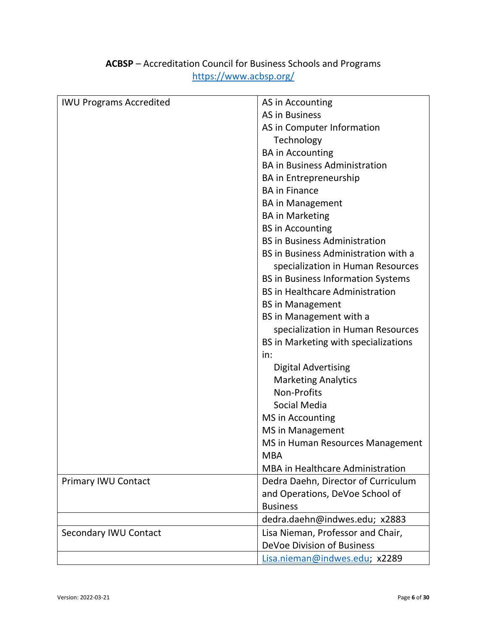<span id="page-5-0"></span>

| <b>IWU Programs Accredited</b> | AS in Accounting                          |
|--------------------------------|-------------------------------------------|
|                                | <b>AS in Business</b>                     |
|                                | AS in Computer Information                |
|                                | Technology                                |
|                                | <b>BA</b> in Accounting                   |
|                                | <b>BA in Business Administration</b>      |
|                                | <b>BA</b> in Entrepreneurship             |
|                                | <b>BA in Finance</b>                      |
|                                | <b>BA in Management</b>                   |
|                                | <b>BA in Marketing</b>                    |
|                                | <b>BS</b> in Accounting                   |
|                                | <b>BS in Business Administration</b>      |
|                                | BS in Business Administration with a      |
|                                | specialization in Human Resources         |
|                                | <b>BS in Business Information Systems</b> |
|                                | <b>BS in Healthcare Administration</b>    |
|                                | <b>BS in Management</b>                   |
|                                | BS in Management with a                   |
|                                | specialization in Human Resources         |
|                                | BS in Marketing with specializations      |
|                                | in:                                       |
|                                | <b>Digital Advertising</b>                |
|                                | <b>Marketing Analytics</b>                |
|                                | Non-Profits                               |
|                                | Social Media                              |
|                                | MS in Accounting                          |
|                                | <b>MS</b> in Management                   |
|                                | MS in Human Resources Management          |
|                                | <b>MBA</b>                                |
|                                | <b>MBA</b> in Healthcare Administration   |
| <b>Primary IWU Contact</b>     | Dedra Daehn, Director of Curriculum       |
|                                | and Operations, DeVoe School of           |
|                                | <b>Business</b>                           |
|                                | dedra.daehn@indwes.edu; x2883             |
| <b>Secondary IWU Contact</b>   | Lisa Nieman, Professor and Chair,         |
|                                | DeVoe Division of Business                |
|                                | Lisa.nieman@indwes.edu; x2289             |

# **ACBSP** – Accreditation Council for Business Schools and Programs <https://www.acbsp.org/>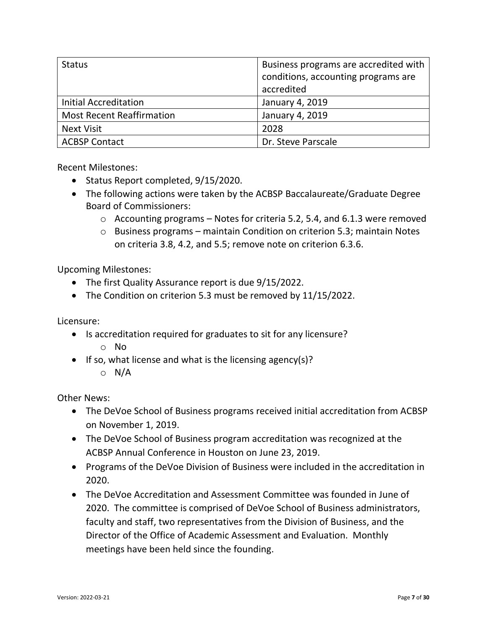| <b>Status</b>                    | Business programs are accredited with<br>conditions, accounting programs are<br>accredited |
|----------------------------------|--------------------------------------------------------------------------------------------|
| <b>Initial Accreditation</b>     | January 4, 2019                                                                            |
| <b>Most Recent Reaffirmation</b> | January 4, 2019                                                                            |
| <b>Next Visit</b>                | 2028                                                                                       |
| <b>ACBSP Contact</b>             | Dr. Steve Parscale                                                                         |

Recent Milestones:

- Status Report completed, 9/15/2020.
- The following actions were taken by the ACBSP Baccalaureate/Graduate Degree Board of Commissioners:
	- $\circ$  Accounting programs Notes for criteria 5.2, 5.4, and 6.1.3 were removed
	- o Business programs maintain Condition on criterion 5.3; maintain Notes on criteria 3.8, 4.2, and 5.5; remove note on criterion 6.3.6.

Upcoming Milestones:

- The first Quality Assurance report is due 9/15/2022.
- The Condition on criterion 5.3 must be removed by 11/15/2022.

Licensure:

- Is accreditation required for graduates to sit for any licensure?
	- o No
- If so, what license and what is the licensing agency(s)?
	- o N/A

Other News:

- The DeVoe School of Business programs received initial accreditation from ACBSP on November 1, 2019.
- The DeVoe School of Business program accreditation was recognized at the ACBSP Annual Conference in Houston on June 23, 2019.
- Programs of the DeVoe Division of Business were included in the accreditation in 2020.
- The DeVoe Accreditation and Assessment Committee was founded in June of 2020. The committee is comprised of DeVoe School of Business administrators, faculty and staff, two representatives from the Division of Business, and the Director of the Office of Academic Assessment and Evaluation. Monthly meetings have been held since the founding.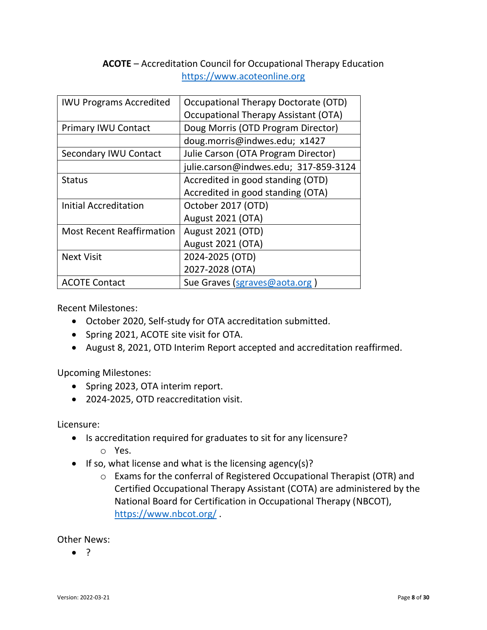## **ACOTE** – Accreditation Council for Occupational Therapy Education https://www.acoteonline.org

<span id="page-7-0"></span>

| <b>IWU Programs Accredited</b>   | Occupational Therapy Doctorate (OTD)        |
|----------------------------------|---------------------------------------------|
|                                  | <b>Occupational Therapy Assistant (OTA)</b> |
| <b>Primary IWU Contact</b>       | Doug Morris (OTD Program Director)          |
|                                  | doug.morris@indwes.edu; x1427               |
| Secondary IWU Contact            | Julie Carson (OTA Program Director)         |
|                                  | julie.carson@indwes.edu; 317-859-3124       |
| <b>Status</b>                    | Accredited in good standing (OTD)           |
|                                  | Accredited in good standing (OTA)           |
| <b>Initial Accreditation</b>     | October 2017 (OTD)                          |
|                                  | <b>August 2021 (OTA)</b>                    |
| <b>Most Recent Reaffirmation</b> | <b>August 2021 (OTD)</b>                    |
|                                  | <b>August 2021 (OTA)</b>                    |
| <b>Next Visit</b>                | 2024-2025 (OTD)                             |
|                                  | 2027-2028 (OTA)                             |
| <b>ACOTE Contact</b>             | Sue Graves (sgraves@aota.org)               |

Recent Milestones:

- October 2020, Self-study for OTA accreditation submitted.
- Spring 2021, ACOTE site visit for OTA.
- August 8, 2021, OTD Interim Report accepted and accreditation reaffirmed.

Upcoming Milestones:

- Spring 2023, OTA interim report.
- 2024-2025, OTD reaccreditation visit.

Licensure:

- Is accreditation required for graduates to sit for any licensure?
	- o Yes.
- If so, what license and what is the licensing agency(s)?
	- o Exams for the conferral of Registered Occupational Therapist (OTR) and Certified Occupational Therapy Assistant (COTA) are administered by the National Board for Certification in Occupational Therapy (NBCOT), <https://www.nbcot.org/> .

Other News: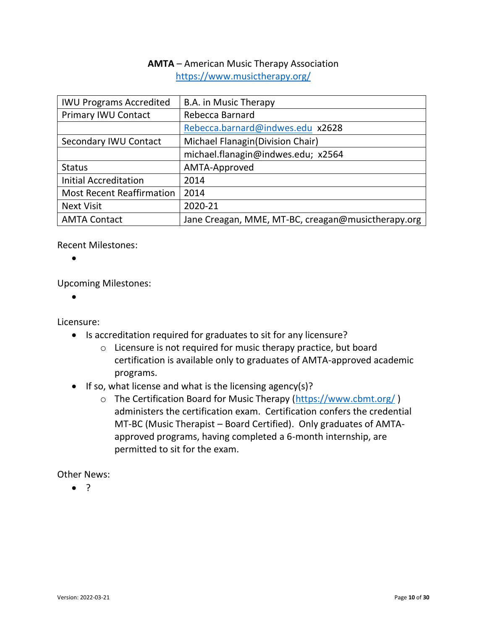## **AMTA** – American Music Therapy Association <https://www.musictherapy.org/>

<span id="page-9-0"></span>

| <b>IWU Programs Accredited</b>   | B.A. in Music Therapy                              |
|----------------------------------|----------------------------------------------------|
| <b>Primary IWU Contact</b>       | Rebecca Barnard                                    |
|                                  | Rebecca.barnard@indwes.edu x2628                   |
| Secondary IWU Contact            | Michael Flanagin (Division Chair)                  |
|                                  | michael.flanagin@indwes.edu; x2564                 |
| <b>Status</b>                    | AMTA-Approved                                      |
| <b>Initial Accreditation</b>     | 2014                                               |
| <b>Most Recent Reaffirmation</b> | 2014                                               |
| <b>Next Visit</b>                | 2020-21                                            |
| <b>AMTA Contact</b>              | Jane Creagan, MME, MT-BC, creagan@musictherapy.org |

Recent Milestones:

•

Upcoming Milestones:

•

Licensure:

- Is accreditation required for graduates to sit for any licensure?
	- o Licensure is not required for music therapy practice, but board certification is available only to graduates of AMTA-approved academic programs.
- If so, what license and what is the licensing agency(s)?
	- o The Certification Board for Music Therapy [\(https://www.cbmt.org/](https://www.cbmt.org/) ) administers the certification exam. Certification confers the credential MT-BC (Music Therapist – Board Certified). Only graduates of AMTAapproved programs, having completed a 6-month internship, are permitted to sit for the exam.

Other News: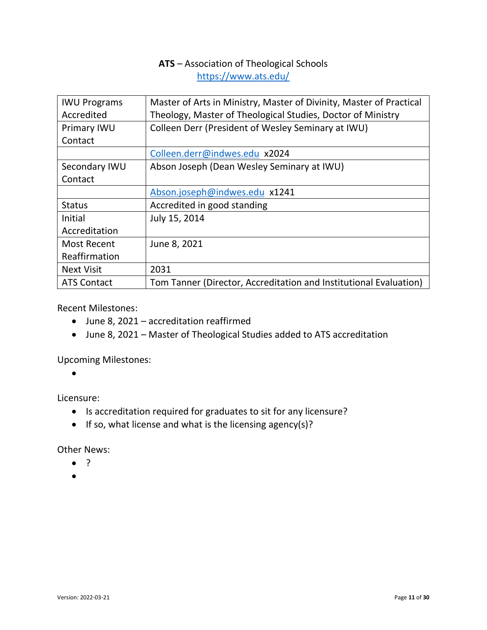## **ATS** – Association of Theological Schools <https://www.ats.edu/>

<span id="page-10-0"></span>

| <b>IWU Programs</b> | Master of Arts in Ministry, Master of Divinity, Master of Practical |
|---------------------|---------------------------------------------------------------------|
| Accredited          | Theology, Master of Theological Studies, Doctor of Ministry         |
| Primary IWU         | Colleen Derr (President of Wesley Seminary at IWU)                  |
| Contact             |                                                                     |
|                     | Colleen.derr@indwes.edu x2024                                       |
| Secondary IWU       | Abson Joseph (Dean Wesley Seminary at IWU)                          |
| Contact             |                                                                     |
|                     | Abson.joseph@indwes.edu x1241                                       |
| <b>Status</b>       | Accredited in good standing                                         |
| Initial             | July 15, 2014                                                       |
| Accreditation       |                                                                     |
| <b>Most Recent</b>  | June 8, 2021                                                        |
| Reaffirmation       |                                                                     |
| <b>Next Visit</b>   | 2031                                                                |
| <b>ATS Contact</b>  | Tom Tanner (Director, Accreditation and Institutional Evaluation)   |

Recent Milestones:

- June 8, 2021 accreditation reaffirmed
- June 8, 2021 Master of Theological Studies added to ATS accreditation

Upcoming Milestones:

•

Licensure:

- Is accreditation required for graduates to sit for any licensure?
- If so, what license and what is the licensing agency(s)?

Other News:

- ?
- •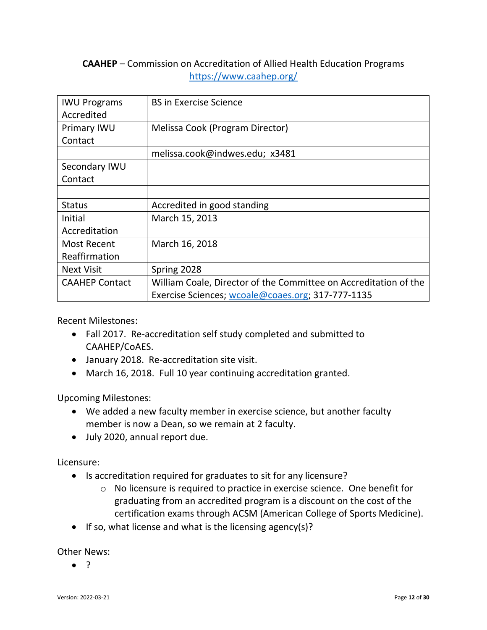## <span id="page-11-0"></span>**CAAHEP** – Commission on Accreditation of Allied Health Education Programs https://www.caahep.org/

| <b>IWU Programs</b><br>Accredited | <b>BS in Exercise Science</b>                                    |
|-----------------------------------|------------------------------------------------------------------|
| Primary IWU                       | Melissa Cook (Program Director)                                  |
| Contact                           |                                                                  |
|                                   | melissa.cook@indwes.edu; x3481                                   |
| Secondary IWU                     |                                                                  |
| Contact                           |                                                                  |
|                                   |                                                                  |
| <b>Status</b>                     | Accredited in good standing                                      |
| Initial                           | March 15, 2013                                                   |
| Accreditation                     |                                                                  |
| Most Recent                       | March 16, 2018                                                   |
| Reaffirmation                     |                                                                  |
| <b>Next Visit</b>                 | Spring 2028                                                      |
| <b>CAAHEP Contact</b>             | William Coale, Director of the Committee on Accreditation of the |
|                                   | Exercise Sciences; wcoale@coaes.org; 317-777-1135                |

Recent Milestones:

- Fall 2017. Re-accreditation self study completed and submitted to CAAHEP/CoAES.
- January 2018. Re-accreditation site visit.
- March 16, 2018. Full 10 year continuing accreditation granted.

Upcoming Milestones:

- We added a new faculty member in exercise science, but another faculty member is now a Dean, so we remain at 2 faculty.
- July 2020, annual report due.

Licensure:

- Is accreditation required for graduates to sit for any licensure?
	- o No licensure is required to practice in exercise science. One benefit for graduating from an accredited program is a discount on the cost of the certification exams through ACSM (American College of Sports Medicine).
- If so, what license and what is the licensing agency(s)?

Other News: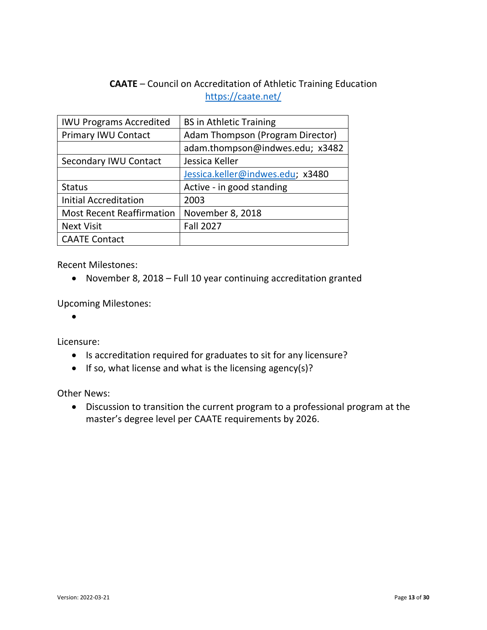# **CAATE** – Council on Accreditation of Athletic Training Education <https://caate.net/>

<span id="page-12-0"></span>

| <b>IWU Programs Accredited</b>   | <b>BS in Athletic Training</b>   |
|----------------------------------|----------------------------------|
| <b>Primary IWU Contact</b>       | Adam Thompson (Program Director) |
|                                  | adam.thompson@indwes.edu; x3482  |
| Secondary IWU Contact            | Jessica Keller                   |
|                                  | Jessica.keller@indwes.edu; x3480 |
| <b>Status</b>                    | Active - in good standing        |
| <b>Initial Accreditation</b>     | 2003                             |
| <b>Most Recent Reaffirmation</b> | November 8, 2018                 |
| <b>Next Visit</b>                | <b>Fall 2027</b>                 |
| <b>CAATE Contact</b>             |                                  |

Recent Milestones:

• November 8, 2018 – Full 10 year continuing accreditation granted

Upcoming Milestones:

•

Licensure:

- Is accreditation required for graduates to sit for any licensure?
- If so, what license and what is the licensing agency(s)?

Other News:

• Discussion to transition the current program to a professional program at the master's degree level per CAATE requirements by 2026.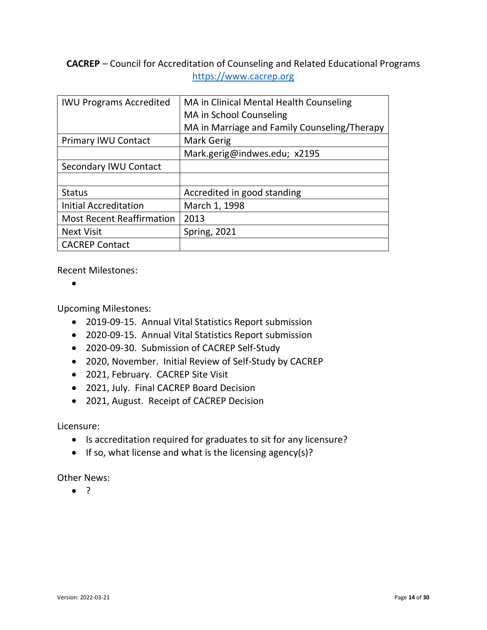<span id="page-13-0"></span>**CACREP** – Council for Accreditation of Counseling and Related Educational Programs https://www.cacrep.org

| <b>IWU Programs Accredited</b>   | MA in Clinical Mental Health Counseling      |
|----------------------------------|----------------------------------------------|
|                                  | MA in School Counseling                      |
|                                  | MA in Marriage and Family Counseling/Therapy |
| <b>Primary IWU Contact</b>       | Mark Gerig                                   |
|                                  | Mark.gerig@indwes.edu; x2195                 |
| Secondary IWU Contact            |                                              |
|                                  |                                              |
| <b>Status</b>                    | Accredited in good standing                  |
| <b>Initial Accreditation</b>     | March 1, 1998                                |
| <b>Most Recent Reaffirmation</b> | 2013                                         |
| <b>Next Visit</b>                | <b>Spring, 2021</b>                          |
| <b>CACREP Contact</b>            |                                              |

Recent Milestones:

•

Upcoming Milestones:

- 2019-09-15. Annual Vital Statistics Report submission
- 2020-09-15. Annual Vital Statistics Report submission
- 2020-09-30. Submission of CACREP Self-Study
- 2020, November. Initial Review of Self-Study by CACREP
- 2021, February. CACREP Site Visit
- 2021, July. Final CACREP Board Decision
- 2021, August. Receipt of CACREP Decision

Licensure:

- Is accreditation required for graduates to sit for any licensure?
- If so, what license and what is the licensing agency(s)?

Other News: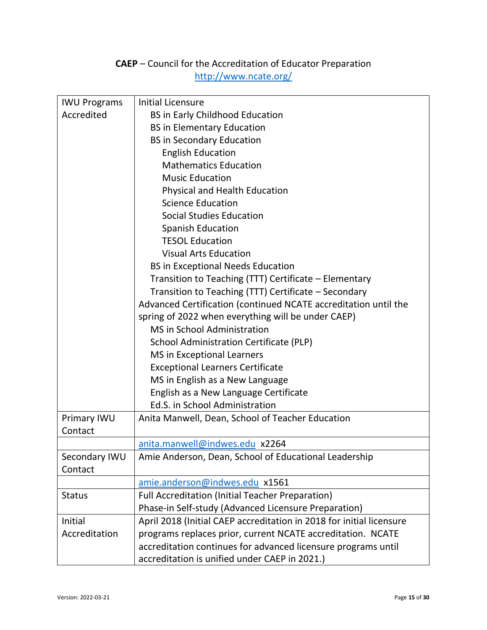# **CAEP** – Council for the Accreditation of Educator Preparation http://www.ncate.org/

<span id="page-14-0"></span>

| <b>IWU Programs</b> | <b>Initial Licensure</b>                                             |
|---------------------|----------------------------------------------------------------------|
| Accredited          | <b>BS in Early Childhood Education</b>                               |
|                     | <b>BS in Elementary Education</b>                                    |
|                     | <b>BS in Secondary Education</b>                                     |
|                     | <b>English Education</b>                                             |
|                     | <b>Mathematics Education</b>                                         |
|                     | <b>Music Education</b>                                               |
|                     | Physical and Health Education                                        |
|                     | <b>Science Education</b>                                             |
|                     | <b>Social Studies Education</b>                                      |
|                     | <b>Spanish Education</b>                                             |
|                     | <b>TESOL Education</b>                                               |
|                     | <b>Visual Arts Education</b>                                         |
|                     | <b>BS in Exceptional Needs Education</b>                             |
|                     | Transition to Teaching (TTT) Certificate – Elementary                |
|                     | Transition to Teaching (TTT) Certificate - Secondary                 |
|                     | Advanced Certification (continued NCATE accreditation until the      |
|                     | spring of 2022 when everything will be under CAEP)                   |
|                     | <b>MS</b> in School Administration                                   |
|                     | School Administration Certificate (PLP)                              |
|                     | <b>MS</b> in Exceptional Learners                                    |
|                     | <b>Exceptional Learners Certificate</b>                              |
|                     | MS in English as a New Language                                      |
|                     | English as a New Language Certificate                                |
|                     | Ed.S. in School Administration                                       |
| Primary IWU         | Anita Manwell, Dean, School of Teacher Education                     |
| Contact             |                                                                      |
|                     | anita.manwell@indwes.edu x2264                                       |
| Secondary IWU       | Amie Anderson, Dean, School of Educational Leadership                |
| Contact             |                                                                      |
|                     | amie.anderson@indwes.edu x1561                                       |
| <b>Status</b>       | <b>Full Accreditation (Initial Teacher Preparation)</b>              |
|                     | Phase-in Self-study (Advanced Licensure Preparation)                 |
| Initial             | April 2018 (Initial CAEP accreditation in 2018 for initial licensure |
| Accreditation       | programs replaces prior, current NCATE accreditation. NCATE          |
|                     | accreditation continues for advanced licensure programs until        |
|                     | accreditation is unified under CAEP in 2021.)                        |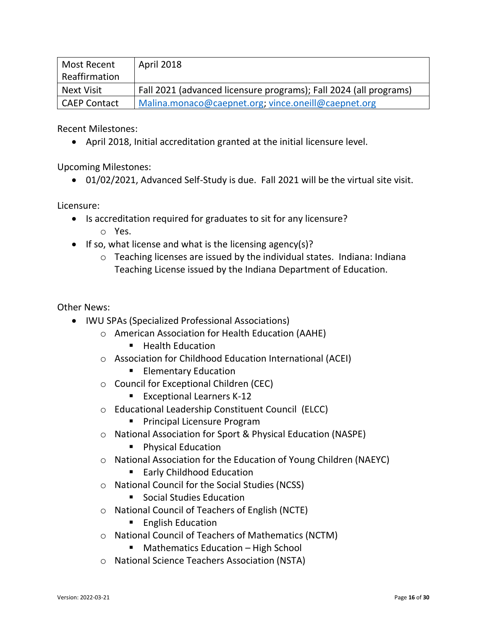| Most Recent         | April 2018                                                        |
|---------------------|-------------------------------------------------------------------|
| Reaffirmation       |                                                                   |
| Next Visit          | Fall 2021 (advanced licensure programs); Fall 2024 (all programs) |
| <b>CAEP Contact</b> | Malina.monaco@caepnet.org; vince.oneill@caepnet.org               |

Recent Milestones:

• April 2018, Initial accreditation granted at the initial licensure level.

Upcoming Milestones:

• 01/02/2021, Advanced Self-Study is due. Fall 2021 will be the virtual site visit.

Licensure:

- Is accreditation required for graduates to sit for any licensure?
	- o Yes.
- If so, what license and what is the licensing agency(s)?
	- o Teaching licenses are issued by the individual states. Indiana: Indiana Teaching License issued by the Indiana Department of Education.

Other News:

- IWU SPAs (Specialized Professional Associations)
	- o American Association for Health Education (AAHE)
		- Health Education
	- o Association for Childhood Education International (ACEI)
		- **Elementary Education**
	- o Council for Exceptional Children (CEC)
		- Exceptional Learners K-12
	- o Educational Leadership Constituent Council (ELCC)
		- Principal Licensure Program
	- o National Association for Sport & Physical Education (NASPE)
		- Physical Education
	- o National Association for the Education of Young Children (NAEYC)
		- Early Childhood Education
	- o National Council for the Social Studies (NCSS)

■ Social Studies Education

- o National Council of Teachers of English (NCTE)
	- English Education
- o National Council of Teachers of Mathematics (NCTM)
	- Mathematics Education High School
- o National Science Teachers Association (NSTA)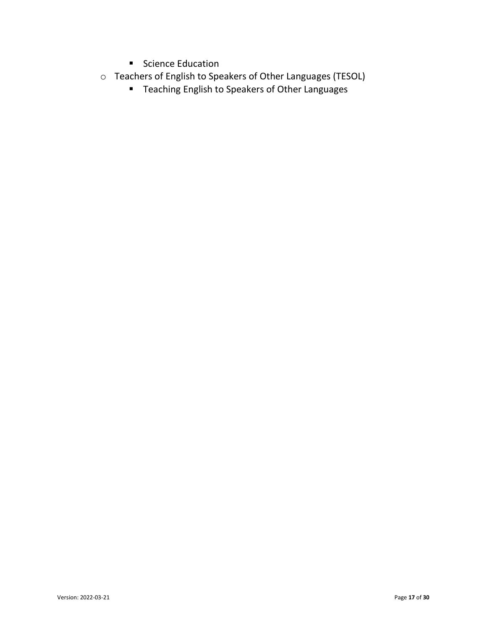- Science Education
- o Teachers of English to Speakers of Other Languages (TESOL)
	- Teaching English to Speakers of Other Languages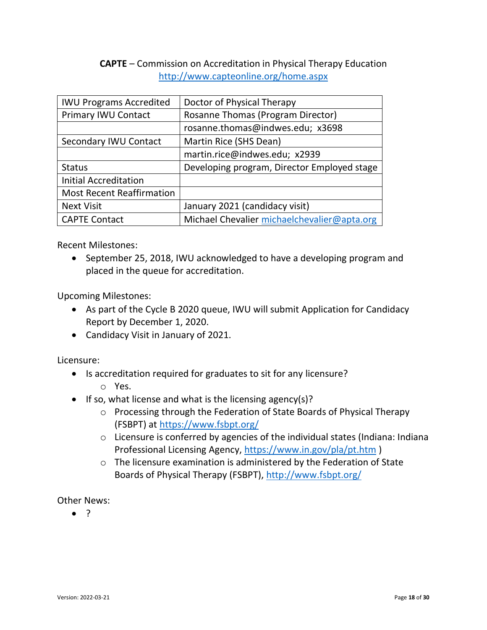### <span id="page-17-0"></span>**CAPTE** – Commission on Accreditation in Physical Therapy Education http://www.capteonline.org/home.aspx

| <b>IWU Programs Accredited</b>   | Doctor of Physical Therapy                  |
|----------------------------------|---------------------------------------------|
| Primary IWU Contact              | Rosanne Thomas (Program Director)           |
|                                  | rosanne.thomas@indwes.edu; x3698            |
| Secondary IWU Contact            | Martin Rice (SHS Dean)                      |
|                                  | martin.rice@indwes.edu; x2939               |
| <b>Status</b>                    | Developing program, Director Employed stage |
| <b>Initial Accreditation</b>     |                                             |
| <b>Most Recent Reaffirmation</b> |                                             |
| <b>Next Visit</b>                | January 2021 (candidacy visit)              |
| <b>CAPTE Contact</b>             | Michael Chevalier michaelchevalier@apta.org |

Recent Milestones:

• September 25, 2018, IWU acknowledged to have a developing program and placed in the queue for accreditation.

Upcoming Milestones:

- As part of the Cycle B 2020 queue, IWU will submit Application for Candidacy Report by December 1, 2020.
- Candidacy Visit in January of 2021.

Licensure:

- Is accreditation required for graduates to sit for any licensure?
	- o Yes.
- If so, what license and what is the licensing agency(s)?
	- o Processing through the Federation of State Boards of Physical Therapy (FSBPT) at<https://www.fsbpt.org/>
	- o Licensure is conferred by agencies of the individual states (Indiana: Indiana Professional Licensing Agency,<https://www.in.gov/pla/pt.htm> )
	- o The licensure examination is administered by the Federation of State Boards of Physical Therapy (FSBPT),<http://www.fsbpt.org/>

Other News: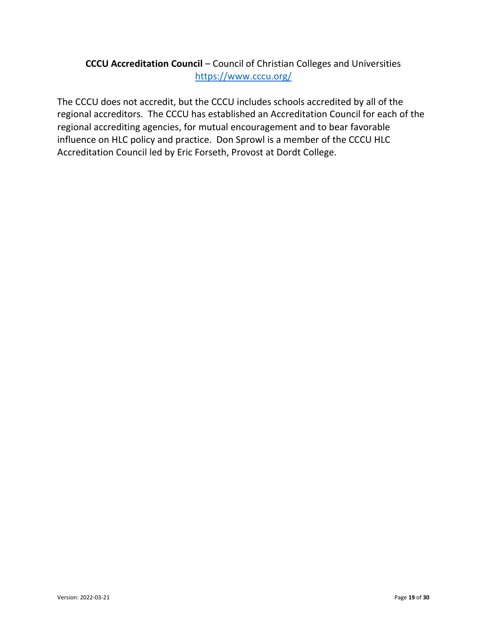## <span id="page-18-0"></span>**CCCU Accreditation Council** – Council of Christian Colleges and Universities <https://www.cccu.org/>

The CCCU does not accredit, but the CCCU includes schools accredited by all of the regional accreditors. The CCCU has established an Accreditation Council for each of the regional accrediting agencies, for mutual encouragement and to bear favorable influence on HLC policy and practice. Don Sprowl is a member of the CCCU HLC Accreditation Council led by Eric Forseth, Provost at Dordt College.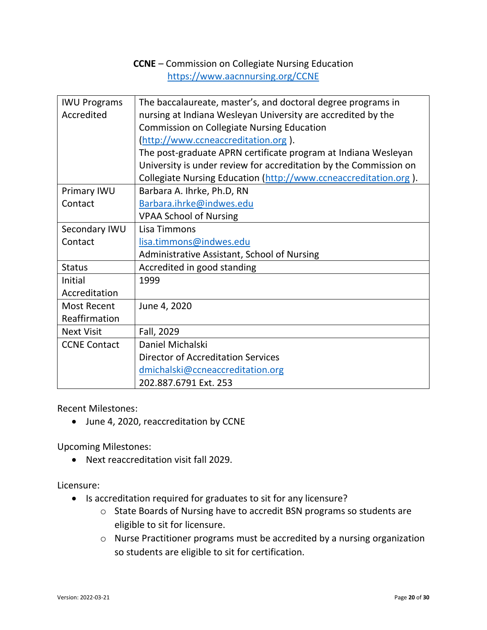## **CCNE** – Commission on Collegiate Nursing Education https://www.aacnnursing.org/CCNE

<span id="page-19-0"></span>

| <b>IWU Programs</b> | The baccalaureate, master's, and doctoral degree programs in      |
|---------------------|-------------------------------------------------------------------|
| Accredited          | nursing at Indiana Wesleyan University are accredited by the      |
|                     | <b>Commission on Collegiate Nursing Education</b>                 |
|                     | (http://www.ccneaccreditation.org).                               |
|                     | The post-graduate APRN certificate program at Indiana Wesleyan    |
|                     | University is under review for accreditation by the Commission on |
|                     | Collegiate Nursing Education (http://www.ccneaccreditation.org).  |
| Primary IWU         | Barbara A. Ihrke, Ph.D, RN                                        |
| Contact             | Barbara.ihrke@indwes.edu                                          |
|                     | <b>VPAA School of Nursing</b>                                     |
| Secondary IWU       | Lisa Timmons                                                      |
| Contact             | lisa.timmons@indwes.edu                                           |
|                     | Administrative Assistant, School of Nursing                       |
| <b>Status</b>       | Accredited in good standing                                       |
| Initial             | 1999                                                              |
| Accreditation       |                                                                   |
| <b>Most Recent</b>  | June 4, 2020                                                      |
| Reaffirmation       |                                                                   |
| <b>Next Visit</b>   | Fall, 2029                                                        |
| <b>CCNE Contact</b> | Daniel Michalski                                                  |
|                     | <b>Director of Accreditation Services</b>                         |
|                     | dmichalski@ccneaccreditation.org                                  |
|                     | 202.887.6791 Ext. 253                                             |

Recent Milestones:

• June 4, 2020, reaccreditation by CCNE

Upcoming Milestones:

• Next reaccreditation visit fall 2029.

Licensure:

- Is accreditation required for graduates to sit for any licensure?
	- o State Boards of Nursing have to accredit BSN programs so students are eligible to sit for licensure.
	- o Nurse Practitioner programs must be accredited by a nursing organization so students are eligible to sit for certification.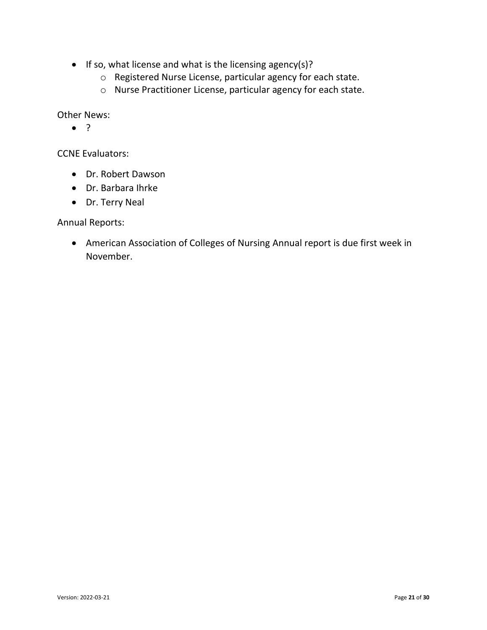- If so, what license and what is the licensing agency(s)?
	- o Registered Nurse License, particular agency for each state.
	- o Nurse Practitioner License, particular agency for each state.

Other News:

• ?

CCNE Evaluators:

- Dr. Robert Dawson
- Dr. Barbara Ihrke
- Dr. Terry Neal

Annual Reports:

• American Association of Colleges of Nursing Annual report is due first week in November.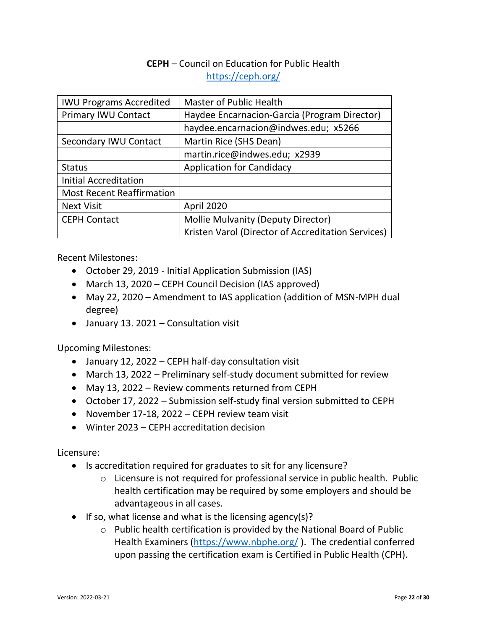## **CEPH** – Council on Education for Public Health <https://ceph.org/>

<span id="page-21-0"></span>

| <b>IWU Programs Accredited</b>   | <b>Master of Public Health</b>                     |
|----------------------------------|----------------------------------------------------|
| <b>Primary IWU Contact</b>       | Haydee Encarnacion-Garcia (Program Director)       |
|                                  | haydee.encarnacion@indwes.edu; x5266               |
| Secondary IWU Contact            | Martin Rice (SHS Dean)                             |
|                                  | martin.rice@indwes.edu; x2939                      |
| <b>Status</b>                    | <b>Application for Candidacy</b>                   |
| <b>Initial Accreditation</b>     |                                                    |
| <b>Most Recent Reaffirmation</b> |                                                    |
| <b>Next Visit</b>                | April 2020                                         |
| <b>CEPH Contact</b>              | <b>Mollie Mulvanity (Deputy Director)</b>          |
|                                  | Kristen Varol (Director of Accreditation Services) |

Recent Milestones:

- October 29, 2019 Initial Application Submission (IAS)
- March 13, 2020 CEPH Council Decision (IAS approved)
- May 22, 2020 Amendment to IAS application (addition of MSN-MPH dual degree)
- January 13. 2021 Consultation visit

Upcoming Milestones:

- January 12, 2022 CEPH half-day consultation visit
- March 13, 2022 Preliminary self-study document submitted for review
- May 13, 2022 Review comments returned from CEPH
- October 17, 2022 Submission self-study final version submitted to CEPH
- November 17-18, 2022 CEPH review team visit
- Winter 2023 CEPH accreditation decision

Licensure:

- Is accreditation required for graduates to sit for any licensure?
	- o Licensure is not required for professional service in public health. Public health certification may be required by some employers and should be advantageous in all cases.
- If so, what license and what is the licensing agency(s)?
	- o Public health certification is provided by the National Board of Public Health Examiners [\(https://www.nbphe.org/](https://www.nbphe.org/) ). The credential conferred upon passing the certification exam is Certified in Public Health (CPH).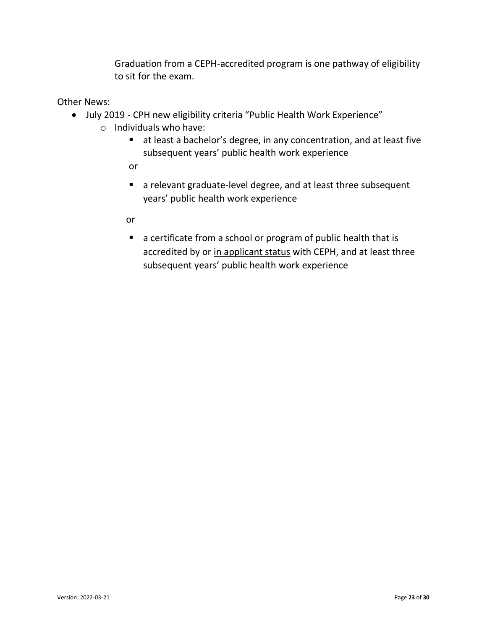Graduation from a CEPH-accredited program is one pathway of eligibility to sit for the exam.

Other News:

- <span id="page-22-0"></span>• July 2019 - CPH new eligibility criteria "Public Health Work Experience"
	- o Individuals who have:
		- at least a bachelor's degree, in any concentration, and at least five subsequent years' public health work experience
		- or
		- a relevant graduate-level degree, and at least three subsequent years' public health work experience
		- or
		- a certificate from a school or program of public health that is accredited by or in applicant status with CEPH, and at least three subsequent years' public health work experience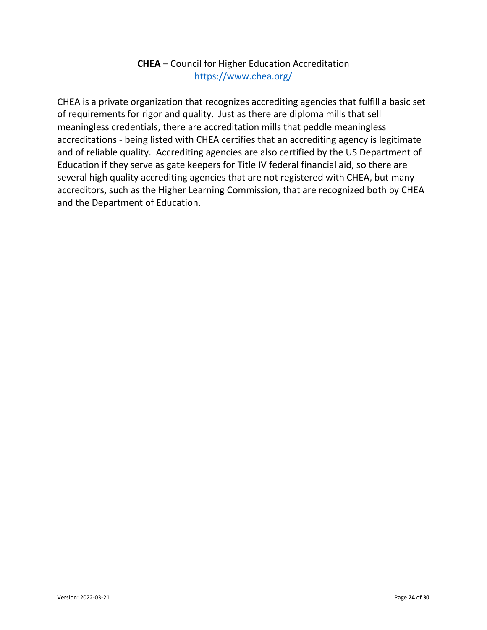## **CHEA** – Council for Higher Education Accreditation https://www.chea.org/

CHEA is a private organization that recognizes accrediting agencies that fulfill a basic set of requirements for rigor and quality. Just as there are diploma mills that sell meaningless credentials, there are accreditation mills that peddle meaningless accreditations - being listed with CHEA certifies that an accrediting agency is legitimate and of reliable quality. Accrediting agencies are also certified by the US Department of Education if they serve as gate keepers for Title IV federal financial aid, so there are several high quality accrediting agencies that are not registered with CHEA, but many accreditors, such as the Higher Learning Commission, that are recognized both by CHEA and the Department of Education.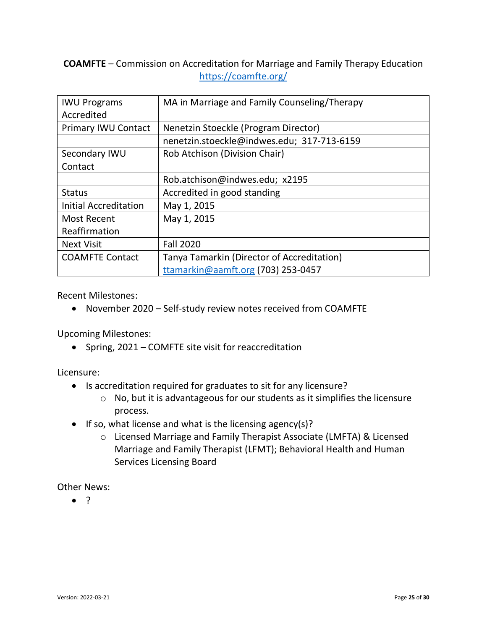## <span id="page-24-0"></span>**COAMFTE** – Commission on Accreditation for Marriage and Family Therapy Education https://coamfte.org/

| <b>IWU Programs</b>        | MA in Marriage and Family Counseling/Therapy |
|----------------------------|----------------------------------------------|
| Accredited                 |                                              |
| <b>Primary IWU Contact</b> | Nenetzin Stoeckle (Program Director)         |
|                            | nenetzin.stoeckle@indwes.edu; 317-713-6159   |
| Secondary IWU              | Rob Atchison (Division Chair)                |
| Contact                    |                                              |
|                            | Rob.atchison@indwes.edu; x2195               |
| <b>Status</b>              | Accredited in good standing                  |
| Initial Accreditation      | May 1, 2015                                  |
| <b>Most Recent</b>         | May 1, 2015                                  |
| Reaffirmation              |                                              |
| <b>Next Visit</b>          | <b>Fall 2020</b>                             |
| <b>COAMFTE Contact</b>     | Tanya Tamarkin (Director of Accreditation)   |
|                            | ttamarkin@aamft.org (703) 253-0457           |

Recent Milestones:

• November 2020 – Self-study review notes received from COAMFTE

Upcoming Milestones:

• Spring, 2021 – COMFTE site visit for reaccreditation

Licensure:

- Is accreditation required for graduates to sit for any licensure?
	- o No, but it is advantageous for our students as it simplifies the licensure process.
- If so, what license and what is the licensing agency(s)?
	- o Licensed Marriage and Family Therapist Associate (LMFTA) & Licensed Marriage and Family Therapist (LFMT); Behavioral Health and Human Services Licensing Board

Other News: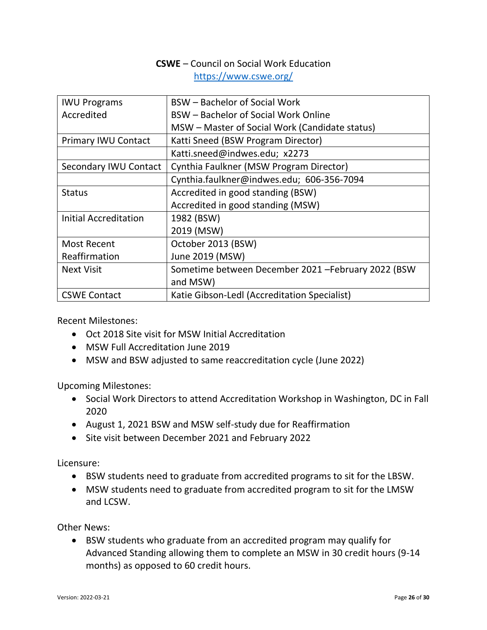## **CSWE** – Council on Social Work Education https://www.cswe.org/

<span id="page-25-0"></span>

| <b>IWU Programs</b>        | <b>BSW</b> – Bachelor of Social Work                |
|----------------------------|-----------------------------------------------------|
| Accredited                 | BSW - Bachelor of Social Work Online                |
|                            | MSW – Master of Social Work (Candidate status)      |
| <b>Primary IWU Contact</b> | Katti Sneed (BSW Program Director)                  |
|                            | Katti.sneed@indwes.edu; x2273                       |
| Secondary IWU Contact      | Cynthia Faulkner (MSW Program Director)             |
|                            | Cynthia.faulkner@indwes.edu; 606-356-7094           |
| <b>Status</b>              | Accredited in good standing (BSW)                   |
|                            | Accredited in good standing (MSW)                   |
| Initial Accreditation      | 1982 (BSW)                                          |
|                            | 2019 (MSW)                                          |
| <b>Most Recent</b>         | October 2013 (BSW)                                  |
| Reaffirmation              | June 2019 (MSW)                                     |
| <b>Next Visit</b>          | Sometime between December 2021 - February 2022 (BSW |
|                            | and MSW)                                            |
| <b>CSWE Contact</b>        | Katie Gibson-Ledl (Accreditation Specialist)        |

Recent Milestones:

- Oct 2018 Site visit for MSW Initial Accreditation
- MSW Full Accreditation June 2019
- MSW and BSW adjusted to same reaccreditation cycle (June 2022)

Upcoming Milestones:

- Social Work Directors to attend Accreditation Workshop in Washington, DC in Fall 2020
- August 1, 2021 BSW and MSW self-study due for Reaffirmation
- Site visit between December 2021 and February 2022

Licensure:

- BSW students need to graduate from accredited programs to sit for the LBSW.
- MSW students need to graduate from accredited program to sit for the LMSW and LCSW.

Other News:

• BSW students who graduate from an accredited program may qualify for Advanced Standing allowing them to complete an MSW in 30 credit hours (9-14 months) as opposed to 60 credit hours.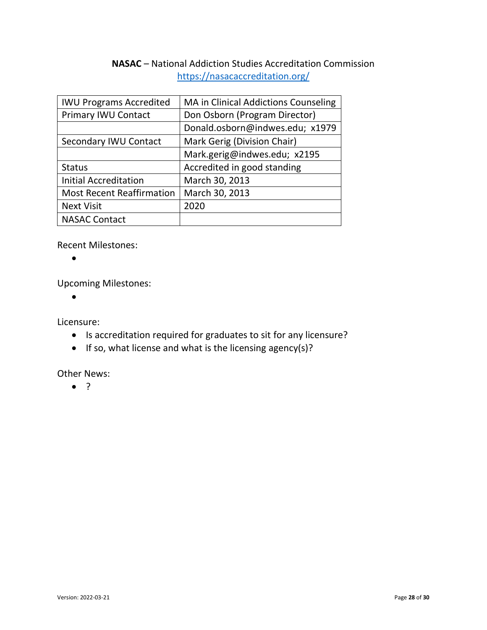## **NASAC** – National Addiction Studies Accreditation Commission https://nasacaccreditation.org/

<span id="page-27-0"></span>

| <b>IWU Programs Accredited</b>   | MA in Clinical Addictions Counseling |
|----------------------------------|--------------------------------------|
| <b>Primary IWU Contact</b>       | Don Osborn (Program Director)        |
|                                  | Donald.osborn@indwes.edu; x1979      |
| Secondary IWU Contact            | Mark Gerig (Division Chair)          |
|                                  | Mark.gerig@indwes.edu; x2195         |
| <b>Status</b>                    | Accredited in good standing          |
| <b>Initial Accreditation</b>     | March 30, 2013                       |
| <b>Most Recent Reaffirmation</b> | March 30, 2013                       |
| <b>Next Visit</b>                | 2020                                 |
| <b>NASAC Contact</b>             |                                      |

Recent Milestones:

 $\bullet$ 

Upcoming Milestones:

•

Licensure:

- Is accreditation required for graduates to sit for any licensure?
- If so, what license and what is the licensing agency(s)?

Other News: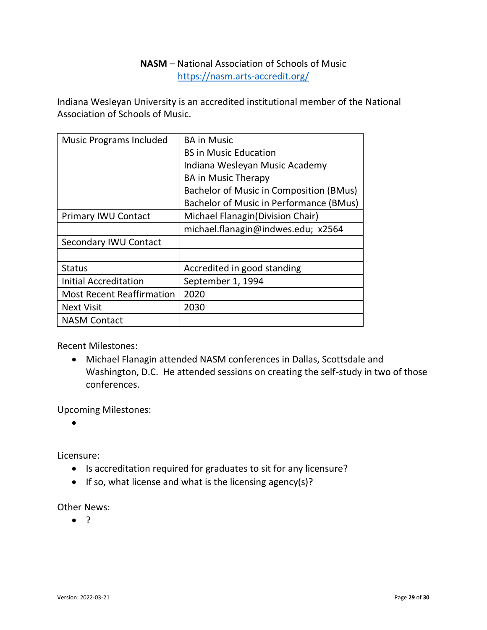### **NASM** – National Association of Schools of Music https://nasm.arts-accredit.org/

<span id="page-28-0"></span>Indiana Wesleyan University is an accredited institutional member of the National Association of Schools of Music.

| <b>Music Programs Included</b>   | <b>BA in Music</b><br><b>BS in Music Education</b><br>Indiana Wesleyan Music Academy<br><b>BA in Music Therapy</b> |
|----------------------------------|--------------------------------------------------------------------------------------------------------------------|
|                                  | Bachelor of Music in Composition (BMus)                                                                            |
|                                  | Bachelor of Music in Performance (BMus)                                                                            |
| <b>Primary IWU Contact</b>       | Michael Flanagin (Division Chair)                                                                                  |
|                                  | michael.flanagin@indwes.edu; x2564                                                                                 |
| Secondary IWU Contact            |                                                                                                                    |
|                                  |                                                                                                                    |
| <b>Status</b>                    | Accredited in good standing                                                                                        |
| <b>Initial Accreditation</b>     | September 1, 1994                                                                                                  |
| <b>Most Recent Reaffirmation</b> | 2020                                                                                                               |
| <b>Next Visit</b>                | 2030                                                                                                               |
| <b>NASM Contact</b>              |                                                                                                                    |

Recent Milestones:

• Michael Flanagin attended NASM conferences in Dallas, Scottsdale and Washington, D.C. He attended sessions on creating the self-study in two of those conferences.

Upcoming Milestones:

•

Licensure:

- Is accreditation required for graduates to sit for any licensure?
- If so, what license and what is the licensing agency(s)?

Other News: